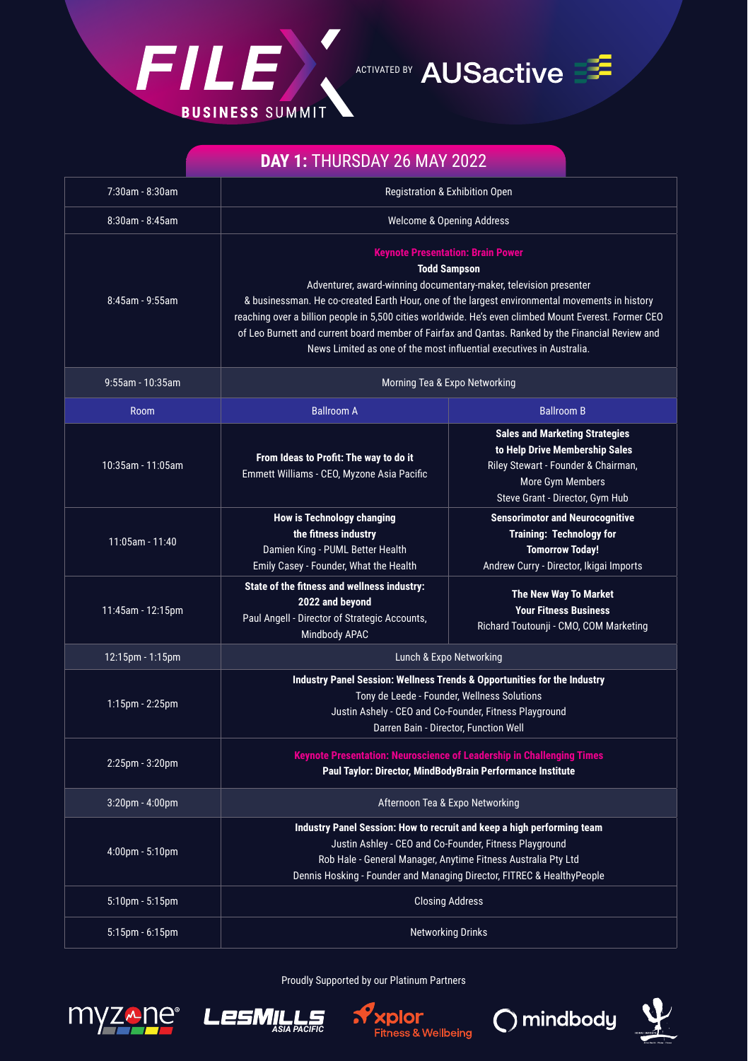

## ACTIVATED BY AUSactive

## **DAY 1:** THURSDAY 26 MAY 2022

| $7:30$ am - $8:30$ am | <b>Registration &amp; Exhibition Open</b>                                                                                                                                                                                                                                                                                                                                                                                                                                                                                    |                                                                                                                                                                       |
|-----------------------|------------------------------------------------------------------------------------------------------------------------------------------------------------------------------------------------------------------------------------------------------------------------------------------------------------------------------------------------------------------------------------------------------------------------------------------------------------------------------------------------------------------------------|-----------------------------------------------------------------------------------------------------------------------------------------------------------------------|
| $8:30$ am - $8:45$ am | <b>Welcome &amp; Opening Address</b>                                                                                                                                                                                                                                                                                                                                                                                                                                                                                         |                                                                                                                                                                       |
| 8:45am - 9:55am       | <b>Keynote Presentation: Brain Power</b><br><b>Todd Sampson</b><br>Adventurer, award-winning documentary-maker, television presenter<br>& businessman. He co-created Earth Hour, one of the largest environmental movements in history<br>reaching over a billion people in 5,500 cities worldwide. He's even climbed Mount Everest. Former CEO<br>of Leo Burnett and current board member of Fairfax and Qantas. Ranked by the Financial Review and<br>News Limited as one of the most influential executives in Australia. |                                                                                                                                                                       |
| 9:55am - 10:35am      | Morning Tea & Expo Networking                                                                                                                                                                                                                                                                                                                                                                                                                                                                                                |                                                                                                                                                                       |
| Room                  | <b>Ballroom A</b>                                                                                                                                                                                                                                                                                                                                                                                                                                                                                                            | <b>Ballroom B</b>                                                                                                                                                     |
| 10:35am - 11:05am     | From Ideas to Profit: The way to do it<br>Emmett Williams - CEO, Myzone Asia Pacific                                                                                                                                                                                                                                                                                                                                                                                                                                         | <b>Sales and Marketing Strategies</b><br>to Help Drive Membership Sales<br>Riley Stewart - Founder & Chairman,<br>More Gym Members<br>Steve Grant - Director, Gym Hub |
| 11:05am - 11:40       | How is Technology changing<br>the fitness industry<br>Damien King - PUML Better Health<br>Emily Casey - Founder, What the Health                                                                                                                                                                                                                                                                                                                                                                                             | <b>Sensorimotor and Neurocognitive</b><br><b>Training: Technology for</b><br><b>Tomorrow Today!</b><br>Andrew Curry - Director, Ikigai Imports                        |
| 11:45am - 12:15pm     | State of the fitness and wellness industry:<br>2022 and beyond<br>Paul Angell - Director of Strategic Accounts,<br>Mindbody APAC                                                                                                                                                                                                                                                                                                                                                                                             | <b>The New Way To Market</b><br><b>Your Fitness Business</b><br>Richard Toutounji - CMO, COM Marketing                                                                |
| 12:15pm - 1:15pm      | Lunch & Expo Networking                                                                                                                                                                                                                                                                                                                                                                                                                                                                                                      |                                                                                                                                                                       |
| $1:15$ pm - $2:25$ pm | Industry Panel Session: Wellness Trends & Opportunities for the Industry<br>Tony de Leede - Founder, Wellness Solutions<br>Justin Ashely - CEO and Co-Founder, Fitness Playground<br>Darren Bain - Director, Function Well                                                                                                                                                                                                                                                                                                   |                                                                                                                                                                       |
| $2:25$ pm - $3:20$ pm | Keynote Presentation: Neuroscience of Leadership in Challenging Times<br>Paul Taylor: Director, MindBodyBrain Performance Institute                                                                                                                                                                                                                                                                                                                                                                                          |                                                                                                                                                                       |
| $3:20$ pm - $4:00$ pm | Afternoon Tea & Expo Networking                                                                                                                                                                                                                                                                                                                                                                                                                                                                                              |                                                                                                                                                                       |
| 4:00pm - 5:10pm       | Industry Panel Session: How to recruit and keep a high performing team<br>Justin Ashley - CEO and Co-Founder, Fitness Playground<br>Rob Hale - General Manager, Anytime Fitness Australia Pty Ltd<br>Dennis Hosking - Founder and Managing Director, FITREC & HealthyPeople                                                                                                                                                                                                                                                  |                                                                                                                                                                       |
| $5:10$ pm - $5:15$ pm | <b>Closing Address</b>                                                                                                                                                                                                                                                                                                                                                                                                                                                                                                       |                                                                                                                                                                       |
| $5:15$ pm - $6:15$ pm | <b>Networking Drinks</b>                                                                                                                                                                                                                                                                                                                                                                                                                                                                                                     |                                                                                                                                                                       |

Proudly Supported by our Platinum Partners